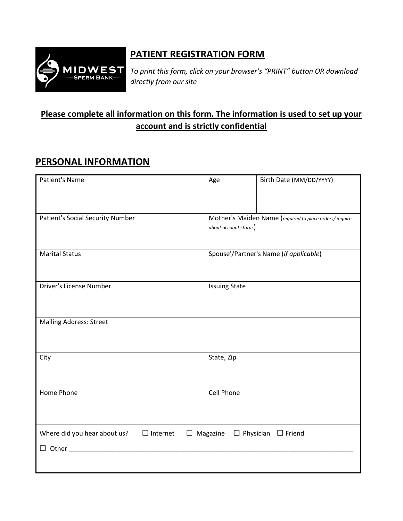

## **PATIENT REGISTRATION FORM**

*To print this form, click on your browser's "PRINT" button OR download directly from our site*

## **Please complete all information on this form. The information is used to set up your account and is strictly confidential**

## **PERSONAL INFORMATION**

| Patient's Name                                                                                 | Age                   | Birth Date (MM/DD/YYYY)                                |  |
|------------------------------------------------------------------------------------------------|-----------------------|--------------------------------------------------------|--|
|                                                                                                |                       |                                                        |  |
| Patient's Social Security Number                                                               | about account status) | Mother's Maiden Name (required to place orders/inquire |  |
|                                                                                                |                       |                                                        |  |
| <b>Marital Status</b>                                                                          |                       | Spouse'/Partner's Name (if applicable)                 |  |
|                                                                                                |                       |                                                        |  |
| Driver's License Number                                                                        | <b>Issuing State</b>  |                                                        |  |
|                                                                                                |                       |                                                        |  |
| <b>Mailing Address: Street</b>                                                                 |                       |                                                        |  |
|                                                                                                |                       |                                                        |  |
| City                                                                                           | State, Zip            |                                                        |  |
|                                                                                                |                       |                                                        |  |
| Home Phone                                                                                     | Cell Phone            |                                                        |  |
|                                                                                                |                       |                                                        |  |
|                                                                                                |                       |                                                        |  |
| Where did you hear about us? $\Box$ Internet<br>$\Box$ Magazine $\Box$ Physician $\Box$ Friend |                       |                                                        |  |
| $\Box$ Other $\Box$                                                                            |                       |                                                        |  |
|                                                                                                |                       |                                                        |  |